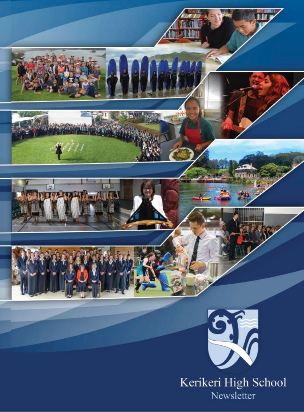

Newsletter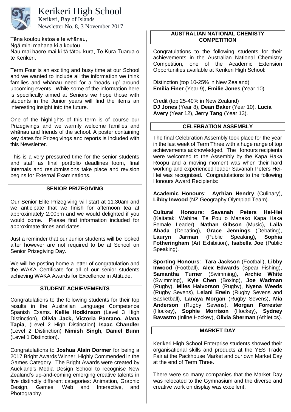

### Kerikeri High School

Newsletter No. 8, 3 November 2017 Kerikeri, Bay of Islands

Tēna koutou katoa e te whānau, Ngā mihi mahana ki a koutou. Nau mai haere mai ki tā tātou kura, Te Kura Tuarua o te Kerikeri.

Term Four is an exciting and busy time at our School and we wanted to include all the information we think families and whānau need for a 'heads up' around upcoming events. While some of the information here is specifically aimed at Seniors we hope those with students in the Junior years will find the items an interesting insight into the future.

One of the highlights of this term is of course our Prizegivings and we warmly welcome families and whānau and friends of the school. A poster containing key dates for Prizegivings and reports is included with this Newsletter.

This is a very pressured time for the senior students and staff as final portfolio deadlines loom, final Internals and resubmissions take place and revision begins for External Examinations.

#### **SENIOR PRIZEGIVING**

Our Senior Elite Prizegiving will start at 11.30am and we anticipate that we finish for afternoon tea at approximately 2.00pm and we would delighted if you would come. Please find information included for approximate times and dates.

Just a reminder that our Junior students will be looked after however are not required to be at School on Senior Prizegiving Day.

We will be posting home a letter of congratulation and the WAKA Certificate for all of our senior students achieving WAKA Awards for Excellence in Attitude.

### **STUDENT ACHIEVEMENTS**

Congratulations to the following students for their top results in the Australian Language Competence Spanish Exams. **Kellie Hodkinson** (Level 3 High Distinction), **Olivia Jack, Victoria Pantano, Alana Tapia**, (Level 2 High Distinction**) Isaac Chandler** (Level 2 Distinction) **Nimish Singh, Daniel Bunn** (Level 1 Distinction).

Congratulations to **Joshua Alain Dormer** for being a 2017 Bright Awards Winner, Highly Commended in the Games Category. The Bright Awards were created by Auckland's Media Design School to recognise New Zealand's up-and-coming emerging creative talents in five distinctly different categories: Animation, Graphic Design, Games, Web and Interactive, and Photography.

#### **AUSTRALIAN NATIONAL CHEMISTY COMPETITION**

Congratulations to the following students for their achievements in the Australian National Chemistry Competition, one of the Academic Extension Opportunities available at Kerikeri High School:

Distinction (top 10-25% in New Zealand) **Emilia Finer** (Year 9), **Emilie Jones** (Year 10)

Credit (top 25-40% in New Zealand) **DJ Jones** (Year 8), **Dean Baker** (Year 10), **Lucia Avery** (Year 12), **Jerry Tang** (Year 13).

#### **CELEBRATION ASSEMBLY**

The final Celebration Assembly took place for the year in the last week of Term Three with a huge range of top achievements acknowledged. The Honours recipients were welcomed to the Assembly by the Kapa Haka Roopu and a moving moment was when their hard working and experienced leader Savanah Peters Hei-Hei was recognised. Congratulations to the following Honours Award Recipients:

**Academic Honours**: **Ayrhian Hendry** (Culinary), **Libby Inwood** (NZ Geography Olympiad Team).

**Cultural Honours**: **Savanah Peters Hei-Hei** (Kaitataki Wahine, Te Pou o Manako Kapa Haka Female Leader), **Nathan Gibson** (Music), **Laila Abada** (Debating), **Grace Jennings** (Debating), **Lauryn Jarman** (Public Speaking), **Fotheringham** (Art Exhibition), **Isabella Joe** (Public Speaking).

**Sporting Honours**: **Tara Jackson** (Football), **Libby Inwood** (Football), **Alex Edwards** (Spear Fishing), **Samantha Turner** (Swimming), **Archie White** (Swimming), **Kyle Chen** (Boxing), **Joe Wadman** (Rugby), **Miles Halvorson** (Rugby), **Nyena Weeds** (Rugby Sevens), **Lelani Erwin** (Rugby Sevens and Basketball), **Lanaya Morgan** (Rugby Sevens), **Mia Anderson** (Rugby Sevens), **Morgan Forrester** (Hockey), **Sophie Morrison** (Hockey), **Sydney Bavastro** (Inline Hockey), **Olivia Sherman** (Athletics).

#### **MARKET DAY**

Kerikeri High School Enterprise students showed their organisational skills and products at the YES Trade Fair at the Packhouse Market and our own Market Day at the end of Term Three.

There were so many companies that the Market Day was relocated to the Gymnasium and the diverse and creative work on display was excellent.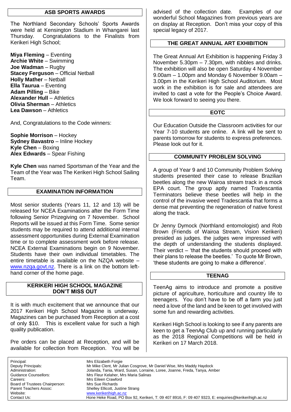#### **ASB SPORTS AWARDS**

The Northland Secondary Schools' Sports Awards were held at Kensington Stadium in Whangarei last Thursday. Congratulations to the Finalists from Kerikeri High School;

**Miya Fleming** – Eventing **Archie White** – Swimming **Joe Wadman** – Rugby **Stacey Ferguson** – Official Netball **Holly Mather** – Netball **Ella Taurua** – Eventing **Adam Pilling** – Bike **Alexander Hull** – Athletics **Olivia Sherman** – Athletics **Lea Dawson** – Athletics

And, Congratulations to the Code winners:

**Sophie Morrison** – Hockey **Sydney Bavastro** – Inline Hockey **Kyle Chen** – Boxing **Alex Edwards** – Spear Fishing

**Kyle Chen** was named Sportsman of the Year and the Team of the Year was The Kerikeri High School Sailing Team.

#### **EXAMINATION INFORMATION**

Most senior students (Years 11, 12 and 13) will be released for NCEA Examinations after the Form Time following Senior Prizegiving on 7 November. School Reports will be issued at this Form Time. Some senior students may be required to attend additional internal assessment opportunities during External Examination time or to complete assessment work before release. NCEA External Examinations begin on 9 November. Students have their own individual timetables. The entire timetable is available on the NZQA website – [www.nzqa.govt.nz.](http://www.nzqa.govt.nz/) There is a link on the bottom lefthand corner of the home page.

#### **KERIKERI HIGH SCHOOL MAGAZINE DON'T MISS OUT**

It is with much excitement that we announce that our 2017 Kerikeri High School Magazine is underway. Magazines can be purchased from Reception at a cost of only \$10. This is excellent value for such a high quality publication.

Pre orders can be placed at Reception, and will be available for collection from Reception. You will be advised of the collection date. Examples of our wonderful School Magazines from previous years are on display at Reception. Don't miss your copy of this special legacy of 2017.

### **THE GREAT ANNUAL ART EXHIBITION**

The Great Annual Art Exhibition is happening Friday 3 November 5.30pm – 7.30pm, with nibbles and drinks. The exhibition will also be open Saturday 4 November 9.00am – 1.00pm and Monday 6 November 9.00am – 3.00pm in the Kerikeri High School Auditorium. Most work in the exhibition is for sale and attendees are invited to cast a vote for the People's Choice Award. We look forward to seeing you there.

#### **EOTC**

Our Education Outside the Classroom activities for our Year 7-10 students are online. A link will be sent to parents tomorrow for students to express preferences. Please look out for it.

### **COMMUNITY PROBLEM SOLVING**

A group of Year 9 and 10 Community Problem Solving students presented their case to release Brazilian beetles along the new Wairoa stream track in a mock EPA court. The group aptly named Tradescantia Terminators believe these beetles will help in the control of the invasive weed Tradescantia that forms a dense mat preventing the regeneration of native forest along the track.

Dr Jenny Dymock (Northland entomologist) and Rob Brown (Friends of Wairoa Stream, Vision Kerikeri) presided as judges. the judges were impressed with the depth of understanding the students displayed. Their verdict – 'that the students should proceed with their plans to release the beetles.' To quote Mr Brown, 'these students are going to make a difference'.

#### **TEENAG**

TeenAg aims to introduce and promote a positive picture of agriculture, horticulture and country life to teenagers. You don't have to be off a farm you just need a love of the land and be keen to get involved with some fun and rewarding activities.

Kerikeri High School is looking to see if any parents are keen to get a TeenAg Club up and running particularly as the 2018 Regional Competitions will be held in Kerikeri on 17 March 2018.

Principal: Mrs Elizabeth Forgie<br>
Deputy Principals: Mr Mike Clent, Mr Ju Mr Mike Clent, Mr Julian Cosgrove, Mr Daniel Wise, Mrs Maddy Haydock Administration: Jolanda, Tania, Ward, Susan, Lorraine, Loree, Joanne, Freda, Tanya, Amber Guidance Counsellors: Mrs Fleur Kelaher, Mrs Maria Salinas<br>Careers: Mrs Fileen Crawford Mrs Eileen Crawford Board of Trustees Chairperson: Mrs Sue Richards Parent Teachers Assoc: Shelley Ellicott, Justine Strang<br>
Website: Website: Website: Www.kerikerihigh.ac.nz [www.kerikerihigh.ac.nz](http://www.kerikerihigh.ac.nz/) Contact Us:Hone Heke Road, PO Box 92, Kerikeri, T: 09 407 8916, F: 09 407 9323, E: enquiries@kerikerihigh.ac.nz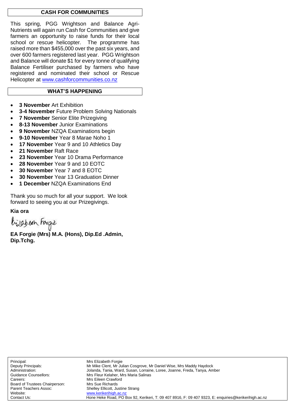#### **CASH FOR COMMUNITIES**

This spring, PGG Wrightson and Balance Agri-Nutrients will again run Cash for Communities and give farmers an opportunity to raise funds for their local school or rescue helicopter. The programme has raised more than \$455,000 over the past six years, and over 600 farmers registered last year. PGG Wrightson and Balance will donate \$1 for every tonne of qualifying Balance Fertiliser purchased by farmers who have registered and nominated their school or Rescue Helicopter at [www.cashforcommunities.co.nz](http://www.cashforcommunities.co.nz/)

#### **WHAT'S HAPPENING**

- **3 November** Art Exhibition
- **3-4 November** Future Problem Solving Nationals
- **7 November** Senior Elite Prizegiving
- **8-13 November** Junior Examinations
- **9 November** NZQA Examinations begin
- **9-10 November** Year 8 Marae Noho 1
- **17 November** Year 9 and 10 Athletics Day
- **21 November** Raft Race
- **23 November** Year 10 Drama Performance
- **28 November** Year 9 and 10 EOTC
- **30 November** Year 7 and 8 EOTC
- **30 November** Year 13 Graduation Dinner
- **1 December** NZQA Examinations End

Thank you so much for all your support. We look forward to seeing you at our Prizegivings.

**Kia ora**

bijaben Forge

**EA Forgie (Mrs) M.A. (Hons), Dip.Ed .Admin, Dip.Tchg.**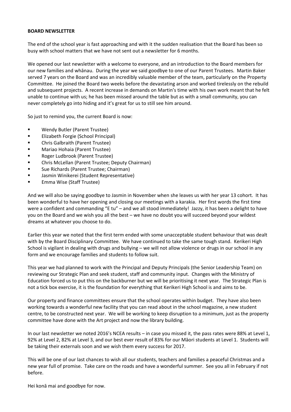#### **BOARD NEWSLETTER**

The end of the school year is fast approaching and with it the sudden realisation that the Board has been so busy with school matters that we have not sent out a newsletter for 6 months.

We opened our last newsletter with a welcome to everyone, and an introduction to the Board members for our new families and whānau. During the year we said goodbye to one of our Parent Trustees. Martin Baker served 7 years on the Board and was an incredibly valuable member of the team, particularly on the Property Committee. He joined the Board two weeks before the devastating arson and worked tirelessly on the rebuild and subsequent projects. A recent increase in demands on Martin's time with his own work meant that he felt unable to continue with us; he has been missed around the table but as with a small community, you can never completely go into hiding and it's great for us to still see him around.

So just to remind you, the current Board is now:

- Wendy Butler (Parent Trustee)
- **Elizabeth Forgie (School Principal)**
- Chris Galbraith (Parent Trustee)
- **E** Mariao Hohaia (Parent Trustee)
- **Roger Ludbrook (Parent Trustee)**
- Chris McLellan (Parent Trustee; Deputy Chairman)
- Sue Richards (Parent Trustee; Chairman)
- Jasmin Winikerei (Student Representative)
- Emma Wise (Staff Trustee)

And we will also be saying goodbye to Jasmin in November when she leaves us with her year 13 cohort. It has been wonderful to have her opening and closing our meetings with a karakia. Her first words the first time were a confident and commanding "E tu" – and we all stood immediately! Jazzy, it has been a delight to have you on the Board and we wish you all the best – we have no doubt you will succeed beyond your wildest dreams at whatever you choose to do.

Earlier this year we noted that the first term ended with some unacceptable student behaviour that was dealt with by the Board Disciplinary Committee. We have continued to take the same tough stand. Kerikeri High School is vigilant in dealing with drugs and bullying – we will not allow violence or drugs in our school in any form and we encourage families and students to follow suit.

This year we had planned to work with the Principal and Deputy Principals (the Senior Leadership Team) on reviewing our Strategic Plan and seek student, staff and community input. Changes with the Ministry of Education forced us to put this on the backburner but we will be prioritising it next year. The Strategic Plan is not a tick box exercise, it is the foundation for everything that Kerikeri High School is and aims to be.

Our property and finance committees ensure that the school operates within budget. They have also been working towards a wonderful new facility that you can read about in the school magazine, a new student centre, to be constructed next year. We will be working to keep disruption to a minimum, just as the property committee have done with the Art project and now the library building.

In our last newsletter we noted 2016's NCEA results – in case you missed it, the pass rates were 88% at Level 1, 92% at Level 2, 82% at Level 3, and our best ever result of 83% for our Māori students at Level 1. Students will be taking their externals soon and we wish them every success for 2017.

This will be one of our last chances to wish all our students, teachers and families a peaceful Christmas and a new year full of promise. Take care on the roads and have a wonderful summer. See you all in February if not before.

Hei konā mai and goodbye for now.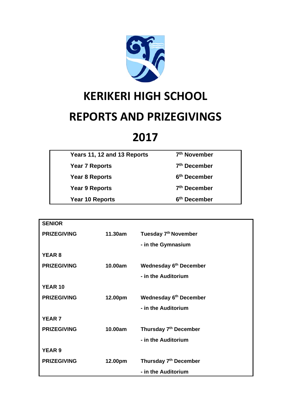

# **KERIKERI HIGH SCHOOL**

### **REPORTS AND PRIZEGIVINGS**

## **2017**

| Years 11, 12 and 13 Reports | 7 <sup>th</sup> November |
|-----------------------------|--------------------------|
| Year 7 Reports              | 7 <sup>th</sup> December |
| Year 8 Reports              | 6 <sup>th</sup> December |
| <b>Year 9 Reports</b>       | 7 <sup>th</sup> December |
| Year 10 Reports             | 6 <sup>th</sup> December |
|                             |                          |

| <b>SENIOR</b>      |         |                                   |  |  |
|--------------------|---------|-----------------------------------|--|--|
| <b>PRIZEGIVING</b> | 11.30am | Tuesday 7 <sup>th</sup> November  |  |  |
|                    |         | - in the Gymnasium                |  |  |
| <b>YEAR 8</b>      |         |                                   |  |  |
| <b>PRIZEGIVING</b> | 10.00am | <b>Wednesday 6th December</b>     |  |  |
|                    |         | - in the Auditorium               |  |  |
| <b>YEAR 10</b>     |         |                                   |  |  |
| <b>PRIZEGIVING</b> | 12.00pm | <b>Wednesday 6th December</b>     |  |  |
|                    |         | - in the Auditorium               |  |  |
| <b>YEAR 7</b>      |         |                                   |  |  |
| <b>PRIZEGIVING</b> | 10.00am | Thursday 7 <sup>th</sup> December |  |  |
|                    |         | - in the Auditorium               |  |  |
| <b>YEAR 9</b>      |         |                                   |  |  |
| <b>PRIZEGIVING</b> | 12.00pm | Thursday 7 <sup>th</sup> December |  |  |
|                    |         | - in the Auditorium               |  |  |